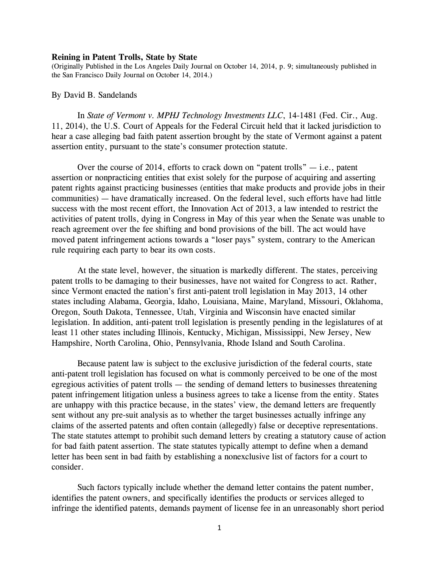## **Reining in Patent Trolls, State by State**

(Originally Published in the Los Angeles Daily Journal on October 14, 2014, p. 9; simultaneously published in the San Francisco Daily Journal on October 14, 2014.)

## By David B. Sandelands

In *State of Vermont v. MPHJ Technology Investments LLC*, 14-1481 (Fed. Cir., Aug. 11, 2014), the U.S. Court of Appeals for the Federal Circuit held that it lacked jurisdiction to hear a case alleging bad faith patent assertion brought by the state of Vermont against a patent assertion entity, pursuant to the state's consumer protection statute.

Over the course of 2014, efforts to crack down on "patent trolls"  $-$  i.e., patent assertion or nonpracticing entities that exist solely for the purpose of acquiring and asserting patent rights against practicing businesses (entities that make products and provide jobs in their communities) — have dramatically increased. On the federal level, such efforts have had little success with the most recent effort, the Innovation Act of 2013, a law intended to restrict the activities of patent trolls, dying in Congress in May of this year when the Senate was unable to reach agreement over the fee shifting and bond provisions of the bill. The act would have moved patent infringement actions towards a "loser pays" system, contrary to the American rule requiring each party to bear its own costs.

At the state level, however, the situation is markedly different. The states, perceiving patent trolls to be damaging to their businesses, have not waited for Congress to act. Rather, since Vermont enacted the nation's first anti-patent troll legislation in May 2013, 14 other states including Alabama, Georgia, Idaho, Louisiana, Maine, Maryland, Missouri, Oklahoma, Oregon, South Dakota, Tennessee, Utah, Virginia and Wisconsin have enacted similar legislation. In addition, anti-patent troll legislation is presently pending in the legislatures of at least 11 other states including Illinois, Kentucky, Michigan, Mississippi, New Jersey, New Hampshire, North Carolina, Ohio, Pennsylvania, Rhode Island and South Carolina.

Because patent law is subject to the exclusive jurisdiction of the federal courts, state anti-patent troll legislation has focused on what is commonly perceived to be one of the most egregious activities of patent trolls — the sending of demand letters to businesses threatening patent infringement litigation unless a business agrees to take a license from the entity. States are unhappy with this practice because, in the states' view, the demand letters are frequently sent without any pre-suit analysis as to whether the target businesses actually infringe any claims of the asserted patents and often contain (allegedly) false or deceptive representations. The state statutes attempt to prohibit such demand letters by creating a statutory cause of action for bad faith patent assertion. The state statutes typically attempt to define when a demand letter has been sent in bad faith by establishing a nonexclusive list of factors for a court to consider.

Such factors typically include whether the demand letter contains the patent number, identifies the patent owners, and specifically identifies the products or services alleged to infringe the identified patents, demands payment of license fee in an unreasonably short period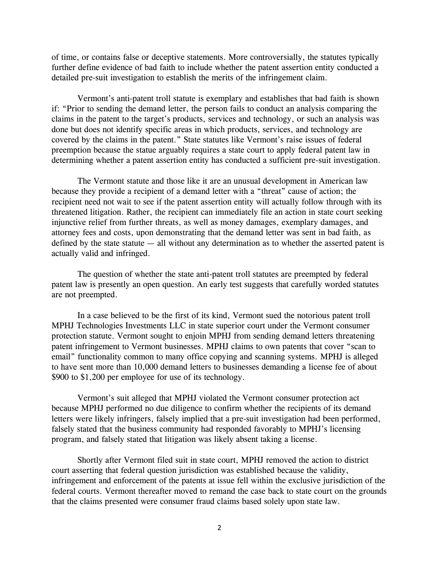of time, or contains false or deceptive statements. More controversially, the statutes typically further define evidence of bad faith to include whether the patent assertion entity conducted a detailed pre-suit investigation to establish the merits of the infringement claim.

Vermont's anti-patent troll statute is exemplary and establishes that bad faith is shown if: "Prior to sending the demand letter, the person fails to conduct an analysis comparing the claims in the patent to the target's products, services and technology, or such an analysis was done but does not identify specific areas in which products, services, and technology are covered by the claims in the patent." State statutes like Vermont's raise issues of federal preemption because the statue arguably requires a state court to apply federal patent law in determining whether a patent assertion entity has conducted a sufficient pre-suit investigation.

The Vermont statute and those like it are an unusual development in American law because they provide a recipient of a demand letter with a "threat" cause of action; the recipient need not wait to see if the patent assertion entity will actually follow through with its threatened litigation. Rather, the recipient can immediately file an action in state court seeking injunctive relief from further threats, as well as money damages, exemplary damages, and attorney fees and costs, upon demonstrating that the demand letter was sent in bad faith, as defined by the state statute  $-$  all without any determination as to whether the asserted patent is actually valid and infringed.

The question of whether the state anti-patent troll statutes are preempted by federal patent law is presently an open question. An early test suggests that carefully worded statutes are not preempted.

In a case believed to be the first of its kind, Vermont sued the notorious patent troll MPHJ Technologies Investments LLC in state superior court under the Vermont consumer protection statute. Vermont sought to enjoin MPHJ from sending demand letters threatening patent infringement to Vermont businesses. MPHJ claims to own patents that cover "scan to email" functionality common to many office copying and scanning systems. MPHJ is alleged to have sent more than 10,000 demand letters to businesses demanding a license fee of about \$900 to \$1,200 per employee for use of its technology.

Vermont's suit alleged that MPHJ violated the Vermont consumer protection act because MPHJ performed no due diligence to confirm whether the recipients of its demand letters were likely infringers, falsely implied that a pre-suit investigation had been performed, falsely stated that the business community had responded favorably to MPHJ's licensing program, and falsely stated that litigation was likely absent taking a license.

Shortly after Vermont filed suit in state court, MPHJ removed the action to district court asserting that federal question jurisdiction was established because the validity, infringement and enforcement of the patents at issue fell within the exclusive jurisdiction of the federal courts. Vermont thereafter moved to remand the case back to state court on the grounds that the claims presented were consumer fraud claims based solely upon state law.